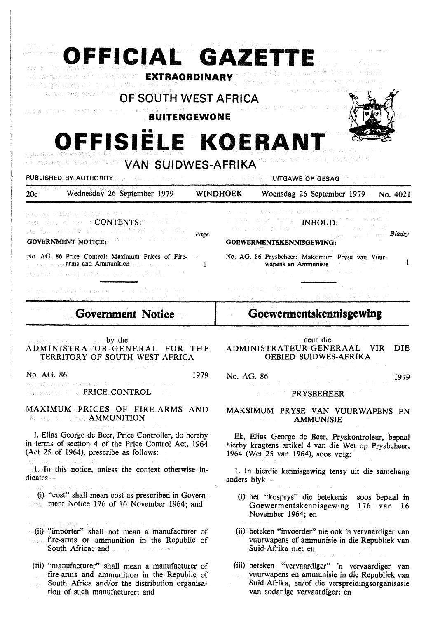**OFFICIAL GAZETT** gless in an то забавинать на полнарожном **EXTRAORDINARY**  yelds admosination and adm ozi zaosałeg gródodkiem **OF SOUTH WEST AFRICA**  Prima ander interfactor **BUITENGEWONE**  •• **OFFISIELE KOERANT**  531000

i vvonimi plus 30 parsem an **VAN SUIDWES-AFRIKA** 

PUBLISHED BY AUTHORITY IS A RELEASED OF GESAGE OP GESAGE OF GESAGE OF GESAGE OF GESAGE OF GESAGE OF GESAGE OF G 20c Wednesday 26 September 1979 **WINI)HOEK** Woensdag 26 September 1979 No. 4021 ver as construction and the INHOUD:

and show of the an CONTENTS: a trade in the state<br>of the contents of a content product and the Page da ethna **GOVERNMENT NOTICE:** 

No. AG. 86 Price Control: Maximum Prices of Firearms and Ammunition and any contract  $\mathbf{1}$ diana del propio del che

of an employees the man

**Government Notice** 

by the ADMINISTRATOR-GENERAL FOR THE TERRITORY OF SOUTH WEST AFRICA

No. AG. 86 1979

manistron and careers. **PRICE CONTROL** 

**MAXIMUM PRICES** OF **FIRE-ARMS AND AMMUNITION** 

I, Elias George de Beer, Price Controller, do hereby in terms of section 4 of the Price Control Act, 1964 (Act  $25$  of 1964), prescribe as follows:

1. In this notice, unless the context otherwise indicates-

(i) "cost" shall mean cost as prescribed in Government Notice 176 of 16 November 1964; and

(ii) "importer" shall not mean a manufacturer of fire-arms or ammunition in the Republic of South Africa; and

(iii) "manufacturer" shall mean a manufacturer of fire-arms and ammunition in the Republic of South Africa and/or the distribution organisation of such manufacturer; and

## **Goewermentskennisgewing**

No. AG. 86 Prysbeheer: Maksimum Pryse van Vuurwapens en Ammunisie

**Bladsy** 

1

**GOEWERMENTSKENMSGEWING:** 

The EART In Paper

deur die ADMINISTRATEUR-GENERAAL VIR DIE GEBIED SUIDWES-AFRIKA

No. AG. 86 1979

**PRYSBEHEER** 

**MAKSIMUM PR YSE VAN VUURWAPENS EN AMMUNISIE** 

Ek, Elias George de Beer, Pryskontroleur, bepaal hierby kragtens artikel 4 van die Wet op Prysbeheer, 1964 (Wet 25 van 1964), soos volg:

1. In hierdie kennisgewing tensy uit die samehang anders blyk-

- (i) het "kosprys" die betekenis soos bepaal in Goewermentskennisgewing 176 van 16 November 1964; en
- (ii) beteken "invoerder" nie ook 'n vervaardiger van vuurwapens of ammunisie in die Republiek van Suid-Afrika nie; en

(iii) beteken "vervaardiger" 'n vervaardiger van vuurwapens en ammunisie in die Republiek van Suid-Afrika, en/of die verspreidingsorganisasie van sodanige vervaardiger; en